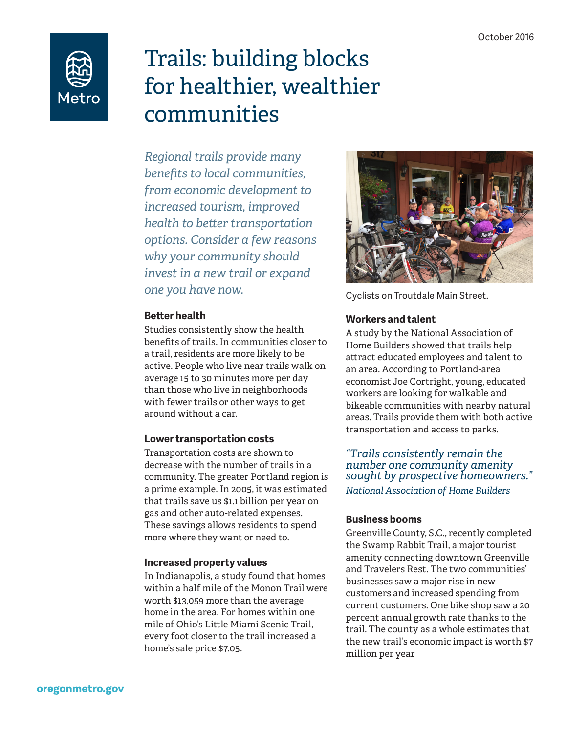

# Trails: building blocks for healthier, wealthier communities

*Regional trails provide many benefits to local communities, from economic development to increased tourism, improved health to better transportation options. Consider a few reasons why your community should invest in a new trail or expand one you have now.*

#### **Better health**

Studies consistently show the health benefits of trails. In communities closer to a trail, residents are more likely to be active. People who live near trails walk on average 15 to 30 minutes more per day than those who live in neighborhoods with fewer trails or other ways to get around without a car.

## **Lower transportation costs**

Transportation costs are shown to decrease with the number of trails in a community. The greater Portland region is a prime example. In 2005, it was estimated that trails save us \$1.1 billion per year on gas and other auto-related expenses. These savings allows residents to spend more where they want or need to.

#### **Increased property values**

In Indianapolis, a study found that homes within a half mile of the Monon Trail were worth \$13,059 more than the average home in the area. For homes within one mile of Ohio's Little Miami Scenic Trail, every foot closer to the trail increased a home's sale price \$7.05.



Cyclists on Troutdale Main Street.

## **Workers and talent**

A study by the National Association of Home Builders showed that trails help attract educated employees and talent to an area. According to Portland-area economist Joe Cortright, young, educated workers are looking for walkable and bikeable communities with nearby natural areas. Trails provide them with both active transportation and access to parks.

*"Trails consistently remain the number one community amenity sought by prospective homeowners." National Association of Home Builders*

## **Business booms**

Greenville County, S.C., recently completed the Swamp Rabbit Trail, a major tourist amenity connecting downtown Greenville and Travelers Rest. The two communities' businesses saw a major rise in new customers and increased spending from current customers. One bike shop saw a 20 percent annual growth rate thanks to the trail. The county as a whole estimates that the new trail's economic impact is worth \$7 million per year